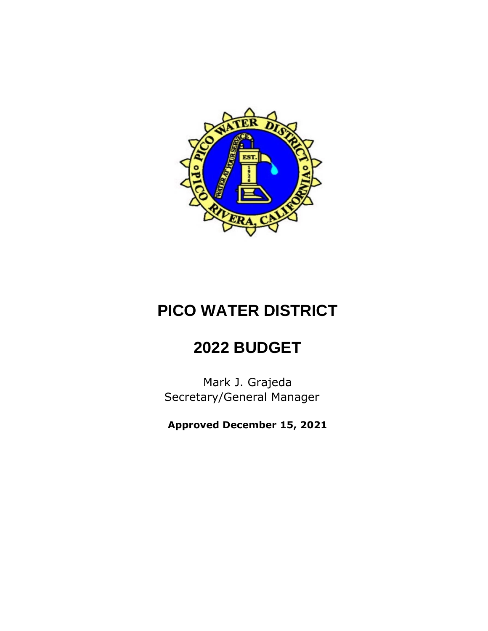

# **PICO WATER DISTRICT**

## **2022 BUDGET**

Mark J. Grajeda Secretary/General Manager

**Approved December 15, 2021**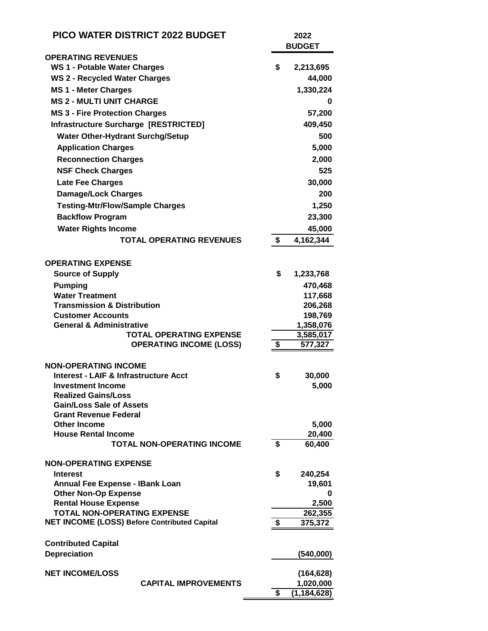| <b>PICO WATER DISTRICT 2022 BUDGET</b>                     |                                   |    | 2022<br><b>BUDGET</b>      |  |  |
|------------------------------------------------------------|-----------------------------------|----|----------------------------|--|--|
| <b>OPERATING REVENUES</b>                                  |                                   |    |                            |  |  |
| WS 1 - Potable Water Charges                               |                                   | \$ | 2,213,695                  |  |  |
| <b>WS 2 - Recycled Water Charges</b>                       |                                   |    | 44,000                     |  |  |
| <b>MS 1 - Meter Charges</b>                                |                                   |    | 1,330,224                  |  |  |
| <b>MS 2 - MULTI UNIT CHARGE</b>                            |                                   |    | 0                          |  |  |
| <b>MS 3 - Fire Protection Charges</b>                      |                                   |    | 57,200                     |  |  |
|                                                            |                                   |    |                            |  |  |
| Infrastructure Surcharge [RESTRICTED]                      |                                   |    | 409,450                    |  |  |
| <b>Water Other-Hydrant Surchg/Setup</b>                    |                                   |    | 500                        |  |  |
| <b>Application Charges</b>                                 |                                   |    | 5,000                      |  |  |
| <b>Reconnection Charges</b>                                |                                   |    | 2,000                      |  |  |
| <b>NSF Check Charges</b>                                   |                                   |    | 525                        |  |  |
| <b>Late Fee Charges</b>                                    |                                   |    | 30,000                     |  |  |
| <b>Damage/Lock Charges</b>                                 |                                   |    | 200                        |  |  |
| <b>Testing-Mtr/Flow/Sample Charges</b>                     |                                   |    | 1,250                      |  |  |
| <b>Backflow Program</b>                                    |                                   |    | 23,300                     |  |  |
|                                                            |                                   |    |                            |  |  |
| <b>Water Rights Income</b>                                 |                                   |    | 45,000                     |  |  |
|                                                            | <b>TOTAL OPERATING REVENUES</b>   | \$ | 4,162,344                  |  |  |
| <b>OPERATING EXPENSE</b><br><b>Source of Supply</b>        |                                   | \$ | 1,233,768                  |  |  |
|                                                            |                                   |    |                            |  |  |
| <b>Pumping</b><br><b>Water Treatment</b>                   |                                   |    | 470,468                    |  |  |
| <b>Transmission &amp; Distribution</b>                     |                                   |    | 117,668<br>206,268         |  |  |
| <b>Customer Accounts</b>                                   |                                   |    | 198,769                    |  |  |
| <b>General &amp; Administrative</b>                        |                                   |    | 1,358,076                  |  |  |
|                                                            | <b>TOTAL OPERATING EXPENSE</b>    |    | 3,585,017                  |  |  |
|                                                            | <b>OPERATING INCOME (LOSS)</b>    | \$ | 577,327                    |  |  |
|                                                            |                                   |    |                            |  |  |
| <b>NON-OPERATING INCOME</b>                                |                                   |    |                            |  |  |
| <b>Interest - LAIF &amp; Infrastructure Acct</b>           |                                   | \$ | 30,000                     |  |  |
| <b>Investment Income</b>                                   |                                   |    | 5,000                      |  |  |
| <b>Realized Gains/Loss</b>                                 |                                   |    |                            |  |  |
| <b>Gain/Loss Sale of Assets</b>                            |                                   |    |                            |  |  |
| <b>Grant Revenue Federal</b>                               |                                   |    |                            |  |  |
| <b>Other Income</b><br><b>House Rental Income</b>          |                                   |    | 5,000                      |  |  |
|                                                            | <b>TOTAL NON-OPERATING INCOME</b> | \$ | 20,400<br>60,400           |  |  |
|                                                            |                                   |    |                            |  |  |
| <b>NON-OPERATING EXPENSE</b>                               |                                   |    |                            |  |  |
| <b>Interest</b>                                            |                                   | \$ | 240,254                    |  |  |
| <b>Annual Fee Expense - IBank Loan</b>                     |                                   |    | 19,601                     |  |  |
| <b>Other Non-Op Expense</b><br><b>Rental House Expense</b> |                                   |    | 0                          |  |  |
| <b>TOTAL NON-OPERATING EXPENSE</b>                         |                                   |    | 2,500<br>262,355           |  |  |
| <b>NET INCOME (LOSS) Before Contributed Capital</b>        |                                   | \$ | 375,372                    |  |  |
|                                                            |                                   |    |                            |  |  |
| <b>Contributed Capital</b>                                 |                                   |    |                            |  |  |
| <b>Depreciation</b>                                        |                                   |    | (540,000)                  |  |  |
|                                                            |                                   |    |                            |  |  |
| <b>NET INCOME/LOSS</b>                                     |                                   |    | (164, 628)                 |  |  |
|                                                            | <b>CAPITAL IMPROVEMENTS</b>       | \$ | 1,020,000<br>(1, 184, 628) |  |  |
|                                                            |                                   |    |                            |  |  |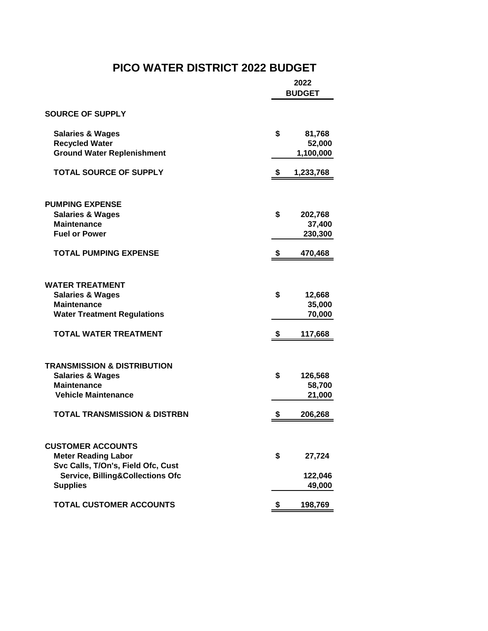### **PICO WATER DISTRICT 2022 BUDGET**

|                                                                                                                                                                | 2022<br><b>BUDGET</b>               |  |
|----------------------------------------------------------------------------------------------------------------------------------------------------------------|-------------------------------------|--|
| <b>SOURCE OF SUPPLY</b>                                                                                                                                        |                                     |  |
| <b>Salaries &amp; Wages</b><br><b>Recycled Water</b><br><b>Ground Water Replenishment</b>                                                                      | \$<br>81,768<br>52,000<br>1,100,000 |  |
| <b>TOTAL SOURCE OF SUPPLY</b>                                                                                                                                  | \$<br>1,233,768                     |  |
| <b>PUMPING EXPENSE</b><br><b>Salaries &amp; Wages</b><br><b>Maintenance</b><br><b>Fuel or Power</b>                                                            | \$<br>202,768<br>37,400<br>230,300  |  |
| <b>TOTAL PUMPING EXPENSE</b>                                                                                                                                   | \$<br>470,468                       |  |
| <b>WATER TREATMENT</b><br><b>Salaries &amp; Wages</b><br><b>Maintenance</b><br><b>Water Treatment Regulations</b>                                              | \$<br>12,668<br>35,000<br>70,000    |  |
| <b>TOTAL WATER TREATMENT</b>                                                                                                                                   | \$<br>117,668                       |  |
| <b>TRANSMISSION &amp; DISTRIBUTION</b><br><b>Salaries &amp; Wages</b><br><b>Maintenance</b><br><b>Vehicle Maintenance</b>                                      | \$<br>126,568<br>58,700<br>21,000   |  |
| <b>TOTAL TRANSMISSION &amp; DISTRBN</b>                                                                                                                        | \$<br>206,268                       |  |
| <b>CUSTOMER ACCOUNTS</b><br><b>Meter Reading Labor</b><br>Svc Calls, T/On's, Field Ofc, Cust<br><b>Service, Billing&amp;Collections Ofc</b><br><b>Supplies</b> | \$<br>27,724<br>122,046<br>49,000   |  |
| <b>TOTAL CUSTOMER ACCOUNTS</b>                                                                                                                                 | \$<br>198,769                       |  |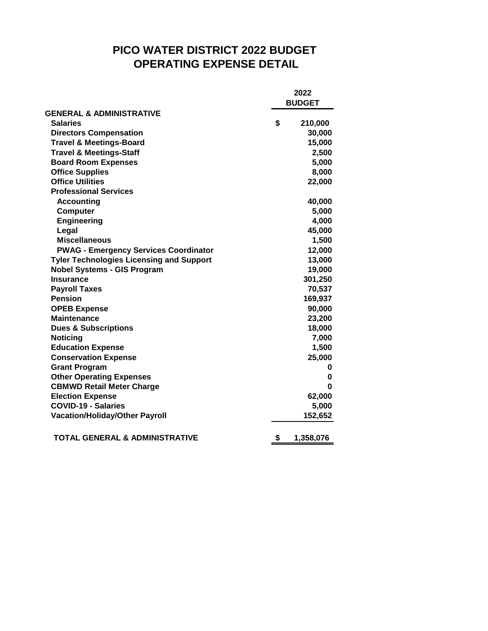### **PICO WATER DISTRICT 2022 BUDGET OPERATING EXPENSE DETAIL**

|                                                 |        | 2022<br><b>BUDGET</b> |  |  |
|-------------------------------------------------|--------|-----------------------|--|--|
| <b>GENERAL &amp; ADMINISTRATIVE</b>             |        |                       |  |  |
| <b>Salaries</b>                                 | \$     | 210,000               |  |  |
| <b>Directors Compensation</b>                   |        | 30,000                |  |  |
| <b>Travel &amp; Meetings-Board</b>              |        | 15,000                |  |  |
| <b>Travel &amp; Meetings-Staff</b>              |        | 2,500                 |  |  |
| <b>Board Room Expenses</b>                      |        | 5,000                 |  |  |
| <b>Office Supplies</b>                          |        | 8,000                 |  |  |
| <b>Office Utilities</b>                         |        | 22,000                |  |  |
| <b>Professional Services</b>                    |        |                       |  |  |
| <b>Accounting</b>                               |        | 40,000                |  |  |
| <b>Computer</b>                                 |        | 5,000                 |  |  |
| <b>Engineering</b>                              |        | 4,000                 |  |  |
| Legal                                           |        | 45,000                |  |  |
| <b>Miscellaneous</b>                            |        | 1,500                 |  |  |
| <b>PWAG - Emergency Services Coordinator</b>    |        | 12,000                |  |  |
| <b>Tyler Technologies Licensing and Support</b> |        | 13,000                |  |  |
| <b>Nobel Systems - GIS Program</b>              |        | 19,000                |  |  |
| <b>Insurance</b>                                |        | 301,250               |  |  |
| <b>Payroll Taxes</b>                            |        | 70,537                |  |  |
| <b>Pension</b>                                  |        | 169,937               |  |  |
| <b>OPEB Expense</b>                             |        | 90,000                |  |  |
| <b>Maintenance</b>                              |        | 23,200                |  |  |
| <b>Dues &amp; Subscriptions</b>                 |        | 18,000                |  |  |
| <b>Noticing</b>                                 |        | 7,000                 |  |  |
| <b>Education Expense</b>                        |        | 1,500                 |  |  |
| <b>Conservation Expense</b>                     |        | 25,000                |  |  |
| <b>Grant Program</b>                            |        | 0                     |  |  |
| <b>Other Operating Expenses</b>                 |        | 0                     |  |  |
| <b>CBMWD Retail Meter Charge</b>                |        | 0                     |  |  |
| <b>Election Expense</b>                         | 62,000 |                       |  |  |
| <b>COVID-19 - Salaries</b>                      |        | 5,000                 |  |  |
| <b>Vacation/Holiday/Other Payroll</b>           |        | 152,652               |  |  |
| <b>TOTAL GENERAL &amp; ADMINISTRATIVE</b>       | \$     | 1,358,076             |  |  |